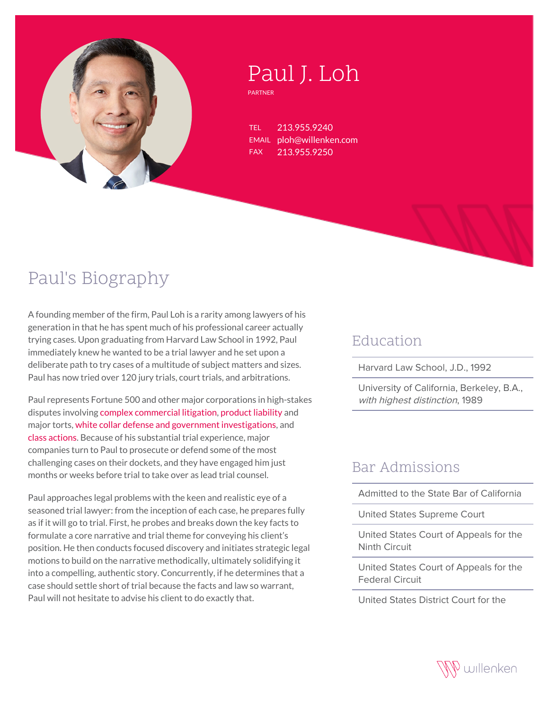

# Paul J. Loh

PARTNER

TEL 213.955.9240 EMAIL ploh@willenken.com FAX 213.955.9250

## Paul's Biography

A founding member of the firm, Paul Loh is a rarity among lawyers of his generation in that he has spent much of his professional career actually trying cases. Upon graduating from Harvard Law School in 1992, Paul immediately knew he wanted to be a trial lawyer and he set upon a deliberate path to try cases of a multitude of subject matters and sizes. Paul has now tried over 120 jury trials, court trials, and arbitrations.

Paul represents Fortune 500 and other major corporations in high-stakes disputes involving [complex commercial litigation](https://willenken.com/practice-area/commercial-litigation/), [product liability](https://willenken.com/practice-area/commercial-litigation/product-liability/) and major torts, [white collar defense and government investigations](https://willenken.com/practice-area/white-collar-criminal-defense-government-investigations/), and [class actions.](https://willenken.com/practice-area/class-action-defense/) Because of his substantial trial experience, major companies turn to Paul to prosecute or defend some of the most challenging cases on their dockets, and they have engaged him just months or weeks before trial to take over as lead trial counsel.

Paul approaches legal problems with the keen and realistic eye of a seasoned trial lawyer: from the inception of each case, he prepares fully as if it will go to trial. First, he probes and breaks down the key facts to formulate a core narrative and trial theme for conveying his client's position. He then conducts focused discovery and initiates strategic legal motions to build on the narrative methodically, ultimately solidifying it into a compelling, authentic story. Concurrently, if he determines that a case should settle short of trial because the facts and law so warrant, Paul will not hesitate to advise his client to do exactly that.

#### Education

Harvard Law School, J.D., 1992

University of California, Berkeley, B.A., with highest distinction, 1989

#### Bar Admissions

Admitted to the State Bar of California

United States Supreme Court

United States Court of Appeals for the Ninth Circuit

United States Court of Appeals for the Federal Circuit

United States District Court for the

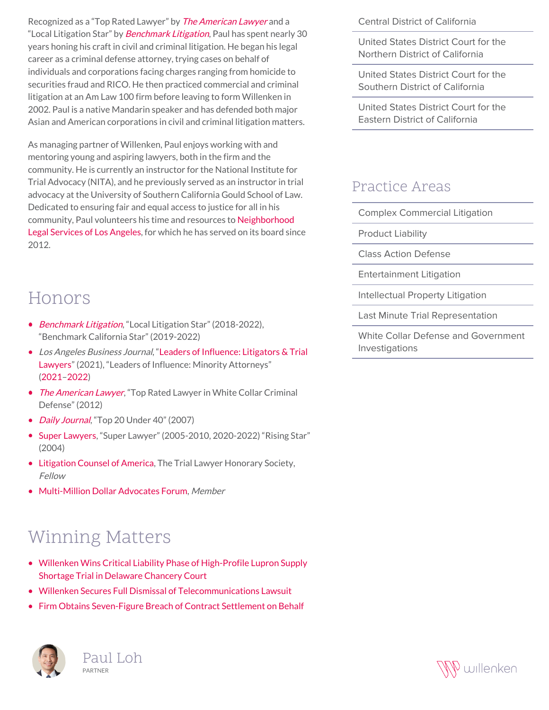Recognized as a "Top Rated Lawyer" by *[The American Lawyer](http://willenken.com/wp-content/uploads/2019/12/Paul-Loh-Top-Rated-Lawyer-American-Lawyer-2012.pdf)* and a "Local Litigation Star" by [Benchmark Litigation](https://www.benchmarklitigation.com/firms/willenken/fimlknxf#/lawyers), Paul has spent nearly 30 years honing his craft in civil and criminal litigation. He began his legal career as a criminal defense attorney, trying cases on behalf of individuals and corporations facing charges ranging from homicide to securities fraud and RICO. He then practiced commercial and criminal litigation at an Am Law 100 firm before leaving to form Willenken in 2002. Paul is a native Mandarin speaker and has defended both major Asian and American corporations in civil and criminal litigation matters.

As managing partner of Willenken, Paul enjoys working with and mentoring young and aspiring lawyers, both in the firm and the community. He is currently an instructor for the National Institute for Trial Advocacy (NITA), and he previously served as an instructor in trial advocacy at the University of Southern California Gould School of Law. Dedicated to ensuring fair and equal access to justice for all in his community, Paul volunteers his time and resources to [Neighborhood](https://www.nlsla.org/) [Legal Services of Los Angeles](https://www.nlsla.org/), for which he has served on its board since 2012.

#### Central District of California

United States District Court for the Northern District of California

United States District Court for the Southern District of California

United States District Court for the Eastern District of California

#### Practice Areas

Complex Commercial Litigation

Product Liability

Class Action Defense

Entertainment Litigation

Intellectual Property Litigation

Last Minute Trial Representation

White Collar Defense and Government Investigations

### Honors

- [Benchmark Litigation](https://www.benchmarklitigation.com/firms/willenken/fimlknxf#/lawyers), "Local Litigation Star" (2018-2022), "Benchmark California Star" (2019-2022)
- Los Angeles Business Journal, "[Leaders of Influence: Litigators & Trial](https://willenken.com/paul-loh-and-jason-wilson-recognized-as-2021-leaders-of-influence-litigators-trial-lawyers-by-los-angeles-business-journal/) [Lawyers"](https://willenken.com/paul-loh-and-jason-wilson-recognized-as-2021-leaders-of-influence-litigators-trial-lawyers-by-los-angeles-business-journal/) (2021), "Leaders of Influence: Minority Attorneys" [\(2021](https://www.cbjonline.com/a2labj/supplements/MinoritySUPP_20200125.pdf)–[2022](https://www.cbjonline.com/a2labj/supplements/LOI-MinorityAttys_20220124.pdf))
- *[The American Lawyer](http://willenken.com/wp-content/uploads/2019/12/Paul-Loh-Top-Rated-Lawyer-American-Lawyer-2012.pdf)*, "Top Rated Lawyer in White Collar Criminal Defense" (2012)
- *[Daily Journal](http://willenken.com/wp-content/uploads/2019/12/Daily-Journal-20-to-Watch-Under-40-Paul-Loh-Litigation-Lawyer.pdf)*, "Top 20 Under 40" (2007)
- [Super Lawyers](https://profiles.superlawyers.com/california/los-angeles/lawyer/paul-j-loh/f8364eef-f1cf-443f-90ff-b695ff4e5dea.html), "Super Lawyer" (2005-2010, 2020-2022) "Rising Star" (2004)
- [Litigation Counsel of America,](https://www.litcounsel.org/) The Trial Lawyer Honorary Society, Fellow
- [Multi-Million Dollar Advocates Forum](https://www.milliondollaradvocates.com/MEMBER-LIST-REFERRAL-DIRECTORY), Member

## Winning Matters

- [Willenken Wins Critical Liability Phase of High-Profile Lupron Supply](https://willenken.com/winning-matters/willenken-wins-critical-liability-phase-of-high-profile-lupron-supply-shortage-trial-in-delaware-chancery-court/) [Shortage Trial in Delaware Chancery Court](https://willenken.com/winning-matters/willenken-wins-critical-liability-phase-of-high-profile-lupron-supply-shortage-trial-in-delaware-chancery-court/)
- [Willenken Secures Full Dismissal of Telecommunications Lawsuit](https://willenken.com/winning-matters/winning-matters-willenken-secures-full-dismissal-of-telecommunications-lawsuit/)
- [Firm Obtains Seven-Figure Breach of Contract Settlement on Behalf](https://willenken.com/winning-matters/firm-obtains-seven-figure-breach-of-contract-settlement-on-behalf-of-national-retailer/)





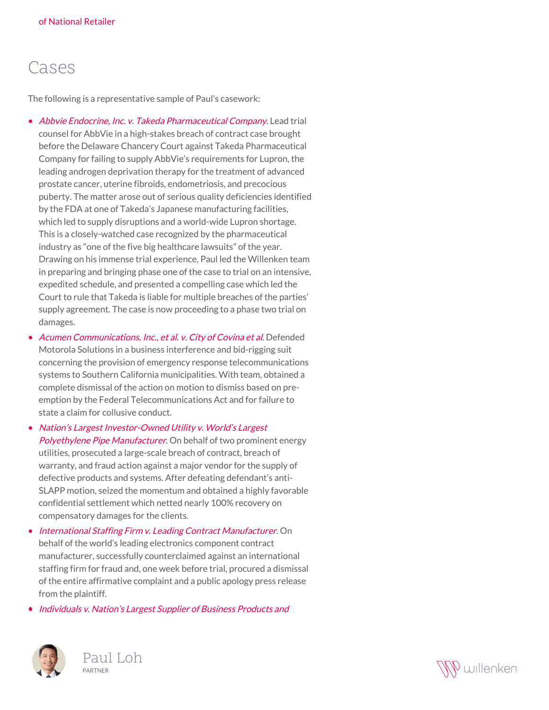## Cases

The following is a representative sample of Paul's casework:

- [Abbvie Endocrine, Inc. v. Takeda Pharmaceutical Company](https://willenken.com/winning-matters/willenken-wins-critical-liability-phase-of-high-profile-lupron-supply-shortage-trial-in-delaware-chancery-court/). Lead trial counsel for AbbVie in a high-stakes breach of contract case brought before the Delaware Chancery Court against Takeda Pharmaceutical Company for failing to supply AbbVie's requirements for Lupron, the leading androgen deprivation therapy for the treatment of advanced prostate cancer, uterine fibroids, endometriosis, and precocious puberty. The matter arose out of serious quality deficiencies identified by the FDA at one of Takeda's Japanese manufacturing facilities, which led to supply disruptions and a world-wide Lupron shortage. This is a closely-watched case recognized by the pharmaceutical industry as "one of the five big healthcare lawsuits" of the year. Drawing on his immense trial experience, Paul led the Willenken team in preparing and bringing phase one of the case to trial on an intensive, expedited schedule, and presented a compelling case which led the Court to rule that Takeda is liable for multiple breaches of the parties' supply agreement. The case is now proceeding to a phase two trial on damages.
- [Acumen Communications, Inc., et al. v. City of Covina et al](http://willenken.com/cases/acumen-communications-inc-et-al-v-city-of-covina-et-al/). Defended Motorola Solutions in a business interference and bid-rigging suit concerning the provision of emergency response telecommunications systems to Southern California municipalities. With team, obtained a complete dismissal of the action on motion to dismiss based on preemption by the Federal Telecommunications Act and for failure to state a claim for collusive conduct.
- [Nation's Largest Investor-Owned Utility v. World's Largest](http://willenken.com/cases/nations-largest-investor-owned-utility-v-worlds-largest-polyethylene-pipe-manufacturer/) [Polyethylene Pipe Manufacturer](http://willenken.com/cases/nations-largest-investor-owned-utility-v-worlds-largest-polyethylene-pipe-manufacturer/). On behalf of two prominent energy utilities, prosecuted a large-scale breach of contract, breach of warranty, and fraud action against a major vendor for the supply of defective products and systems. After defeating defendant's anti-SLAPP motion, seized the momentum and obtained a highly favorable confidential settlement which netted nearly 100% recovery on compensatory damages for the clients.
- [International Staffing Firm v. Leading Contract Manufacturer](http://willenken.com/cases/international-staffing-firm-v-leading-contract-manufacturer/). On behalf of the world's leading electronics component contract manufacturer, successfully counterclaimed against an international staffing firm for fraud and, one week before trial, procured a dismissal of the entire affirmative complaint and a public apology press release from the plaintiff.

• [Individuals v. Nation's Largest Supplier of Business Products and](http://willenken.com/cases/international-staffing-firm-v-leading-electronics-manufacturer/)



Paul Loh PARTNER

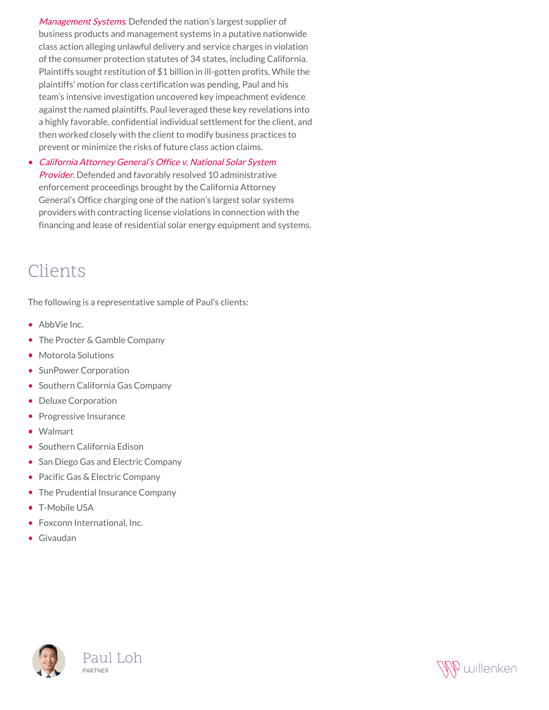[Management Systems](http://willenken.com/cases/international-staffing-firm-v-leading-electronics-manufacturer/). Defended the nation's largest supplier of business products and management systems in a putative nationwide class action alleging unlawful delivery and service charges in violation of the consumer protection statutes of 34 states, including California. Plaintiffs sought restitution of \$1 billion in ill-gotten profits. While the plaintiffs' motion for class certification was pending, Paul and his team's intensive investigation uncovered key impeachment evidence against the named plaintiffs. Paul leveraged these key revelations into a highly favorable, confidential individual settlement for the client, and then worked closely with the client to modify business practices to prevent or minimize the risks of future class action claims.

[California Attorney General's Office v. National Solar System](http://willenken.com/cases/california-attorney-generals-office-v-national-solar-system-provider/)  $\bullet$ [Provider](http://willenken.com/cases/california-attorney-generals-office-v-national-solar-system-provider/). Defended and favorably resolved 10 administrative enforcement proceedings brought by the California Attorney General's Office charging one of the nation's largest solar systems providers with contracting license violations in connection with the financing and lease of residential solar energy equipment and systems.

### Clients

The following is a representative sample of Paul's clients:

- AbbVie Inc.
- The Procter & Gamble Company
- Motorola Solutions
- SunPower Corporation
- Southern California Gas Company
- Deluxe Corporation
- Progressive Insurance
- Walmart
- Southern California Edison
- San Diego Gas and Electric Company
- Pacific Gas & Electric Company
- The Prudential Insurance Company
- T-Mobile USA
- Foxconn International, Inc.
- Givaudan



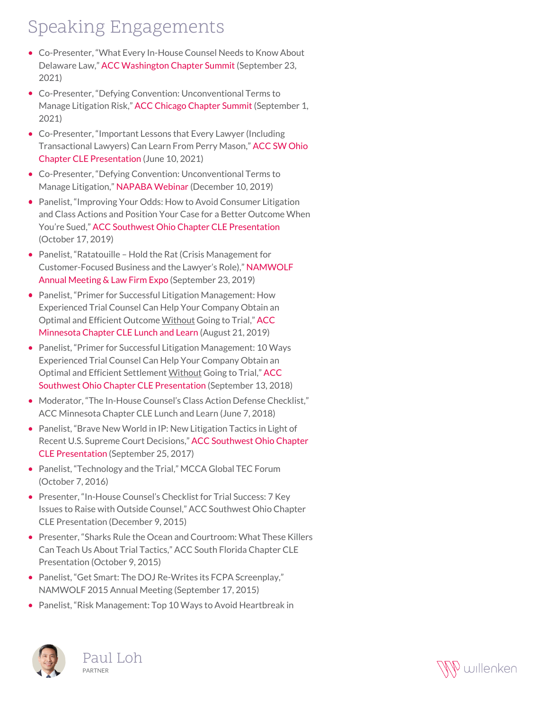## Speaking Engagements

- Co-Presenter, "What Every In-House Counsel Needs to Know About Delaware Law," [ACC Washington Chapter Summit](https://www.accwsummit.com/) (September 23, 2021)
- Co-Presenter, "Defying Convention: Unconventional Terms to Manage Litigation Risk," [ACC Chicago Chapter Summit](https://chicagowebsite.wixsite.com/summit2021) (September 1, 2021)
- Co-Presenter, "Important Lessons that Every Lawyer (Including Transactional Lawyers) Can Learn From Perry Mason," [ACC SW Ohio](https://www.acc.com/education-events/2021/important-lessons-every-lawyer-including-transactional-lawyers-can-learn) [Chapter CLE Presentation](https://www.acc.com/education-events/2021/important-lessons-every-lawyer-including-transactional-lawyers-can-learn) (June 10, 2021)
- Co-Presenter, "Defying Convention: Unconventional Terms to Manage Litigation," [NAPABA Webinar](https://willenken.com/alerts/webinar-defying-convention-unconventional-terms-to-manage-litigation/) (December 10, 2019)
- Panelist, "Improving Your Odds: How to Avoid Consumer Litigation and Class Actions and Position Your Case for a Better Outcome When You're Sued," [ACC Southwest Ohio Chapter CLE Presentation](http://willenken.com/event/improving-your-odds-how-to-avoid-consumer-litigation-and-class-actions-and-position-your-case-for-a-better-outcome-when-youre-sued/) (October 17, 2019)
- Panelist, "Ratatouille Hold the Rat (Crisis Management for Customer-Focused Business and the Lawyer's Role)," [NAMWOLF](http://willenken.com/event/namwolf-annual-meeting/) [Annual Meeting & Law Firm Expo](http://willenken.com/event/namwolf-annual-meeting/) (September 23, 2019)
- Panelist, "Primer for Successful Litigation Management: How Experienced Trial Counsel Can Help Your Company Obtain an Optimal and Efficient Outcome Without Going to Trial," [ACC](http://willenken.com/event/primer-for-successful-litigation-management/) [Minnesota Chapter CLE Lunch and Learn](http://willenken.com/event/primer-for-successful-litigation-management/) (August 21, 2019)
- Panelist, "Primer for Successful Litigation Management: 10 Ways Experienced Trial Counsel Can Help Your Company Obtain an Optimal and Efficient Settlement Without Going to Trial," [ACC](http://willenken.com/event/acc-southwest-ohio-primer-for-successful-litigation-management/) [Southwest Ohio Chapter CLE Presentation](http://willenken.com/event/acc-southwest-ohio-primer-for-successful-litigation-management/) (September 13, 2018)
- Moderator, "The In-House Counsel's Class Action Defense Checklist," ACC Minnesota Chapter CLE Lunch and Learn (June 7, 2018)
- Panelist, "Brave New World in IP: New Litigation Tactics in Light of Recent U.S. Supreme Court Decisions," [ACC Southwest Ohio Chapter](http://willenken.com/event/acc-southwest-ohio-a-brave-new-world-in-ip/) [CLE Presentation](http://willenken.com/event/acc-southwest-ohio-a-brave-new-world-in-ip/) (September 25, 2017)
- Panelist, "Technology and the Trial," MCCA Global TEC Forum (October 7, 2016)
- Presenter, "In-House Counsel's Checklist for Trial Success: 7 Key Issues to Raise with Outside Counsel," ACC Southwest Ohio Chapter CLE Presentation (December 9, 2015)
- Presenter, "Sharks Rule the Ocean and Courtroom: What These Killers Can Teach Us About Trial Tactics," ACC South Florida Chapter CLE Presentation (October 9, 2015)
- Panelist, "Get Smart: The DOJ Re-Writes its FCPA Screenplay," NAMWOLF 2015 Annual Meeting (September 17, 2015)
- Panelist, "Risk Management: Top 10 Ways to Avoid Heartbreak in